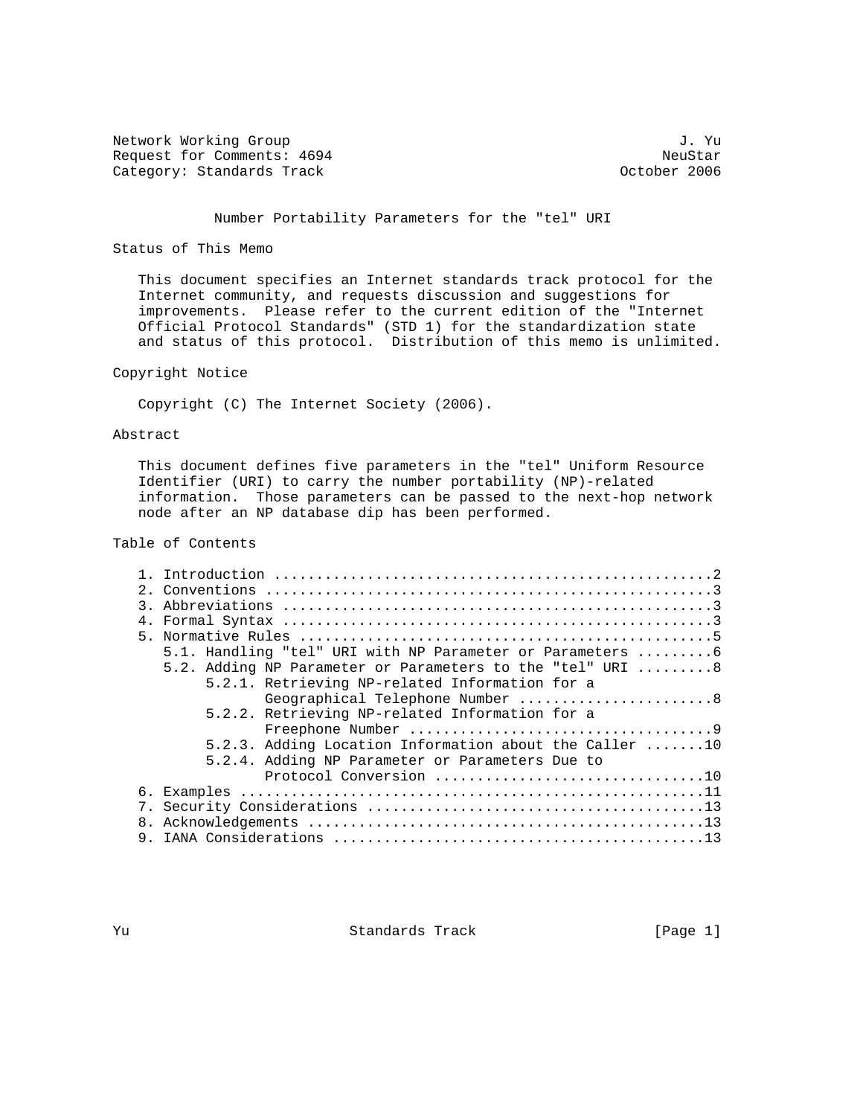Network Working Group J. Yu Request for Comments: 4694 NeuStar NeuStar NeuStar<br>Category: Standards Track New York NeuStar 2006 Category: Standards Track

# Number Portability Parameters for the "tel" URI

# Status of This Memo

 This document specifies an Internet standards track protocol for the Internet community, and requests discussion and suggestions for improvements. Please refer to the current edition of the "Internet Official Protocol Standards" (STD 1) for the standardization state and status of this protocol. Distribution of this memo is unlimited.

# Copyright Notice

Copyright (C) The Internet Society (2006).

# Abstract

 This document defines five parameters in the "tel" Uniform Resource Identifier (URI) to carry the number portability (NP)-related information. Those parameters can be passed to the next-hop network node after an NP database dip has been performed.

# Table of Contents

| $\mathcal{R}$ |                                                           |
|---------------|-----------------------------------------------------------|
|               |                                                           |
|               |                                                           |
|               | 5.1. Handling "tel" URI with NP Parameter or Parameters 6 |
|               | 5.2. Adding NP Parameter or Parameters to the "tel" URI 8 |
|               | 5.2.1. Retrieving NP-related Information for a            |
|               | Geographical Telephone Number 8                           |
|               | 5.2.2. Retrieving NP-related Information for a            |
|               |                                                           |
|               | 5.2.3. Adding Location Information about the Caller 10    |
|               | 5.2.4. Adding NP Parameter or Parameters Due to           |
|               | Protocol Conversion 10                                    |
|               |                                                           |
|               |                                                           |
| 8.            |                                                           |
| 9.            |                                                           |
|               |                                                           |

Yu Standards Track [Page 1]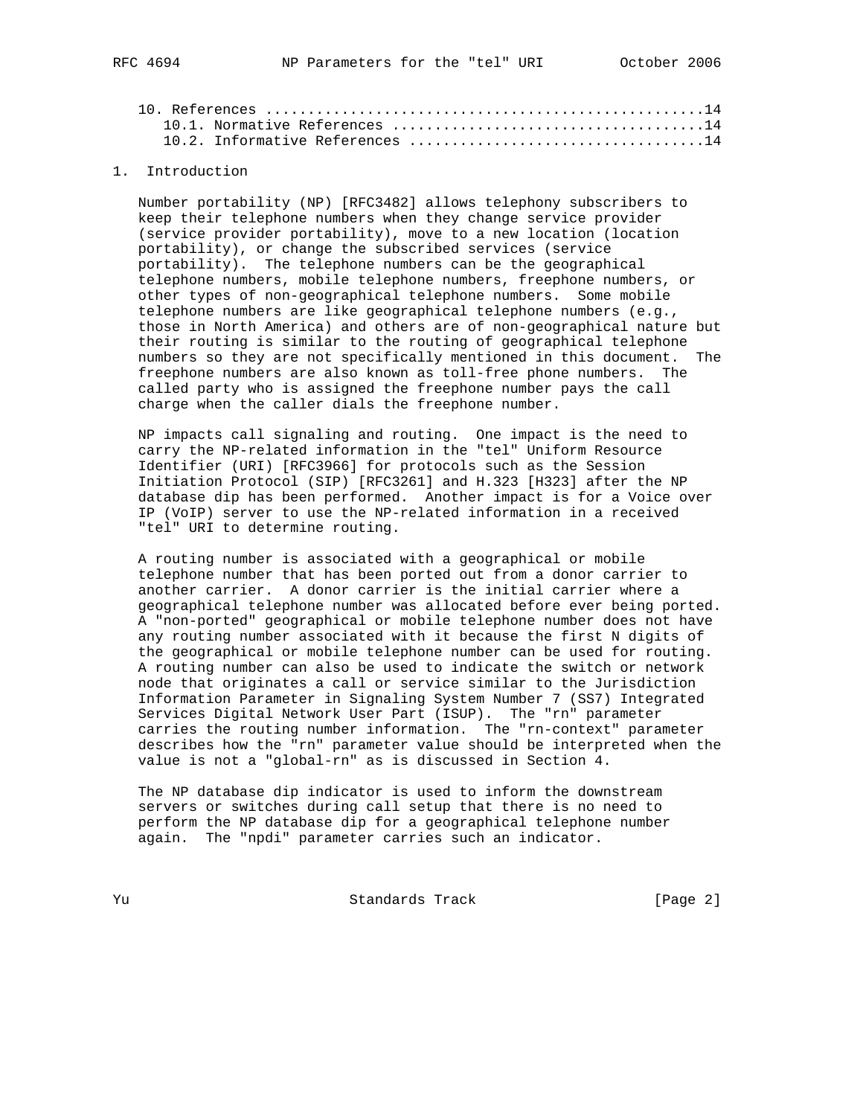## 1. Introduction

 Number portability (NP) [RFC3482] allows telephony subscribers to keep their telephone numbers when they change service provider (service provider portability), move to a new location (location portability), or change the subscribed services (service portability). The telephone numbers can be the geographical telephone numbers, mobile telephone numbers, freephone numbers, or other types of non-geographical telephone numbers. Some mobile telephone numbers are like geographical telephone numbers (e.g., those in North America) and others are of non-geographical nature but their routing is similar to the routing of geographical telephone numbers so they are not specifically mentioned in this document. The freephone numbers are also known as toll-free phone numbers. The called party who is assigned the freephone number pays the call charge when the caller dials the freephone number.

 NP impacts call signaling and routing. One impact is the need to carry the NP-related information in the "tel" Uniform Resource Identifier (URI) [RFC3966] for protocols such as the Session Initiation Protocol (SIP) [RFC3261] and H.323 [H323] after the NP database dip has been performed. Another impact is for a Voice over IP (VoIP) server to use the NP-related information in a received "tel" URI to determine routing.

 A routing number is associated with a geographical or mobile telephone number that has been ported out from a donor carrier to another carrier. A donor carrier is the initial carrier where a geographical telephone number was allocated before ever being ported. A "non-ported" geographical or mobile telephone number does not have any routing number associated with it because the first N digits of the geographical or mobile telephone number can be used for routing. A routing number can also be used to indicate the switch or network node that originates a call or service similar to the Jurisdiction Information Parameter in Signaling System Number 7 (SS7) Integrated Services Digital Network User Part (ISUP). The "rn" parameter carries the routing number information. The "rn-context" parameter describes how the "rn" parameter value should be interpreted when the value is not a "global-rn" as is discussed in Section 4.

 The NP database dip indicator is used to inform the downstream servers or switches during call setup that there is no need to perform the NP database dip for a geographical telephone number again. The "npdi" parameter carries such an indicator.

Yu Standards Track [Page 2]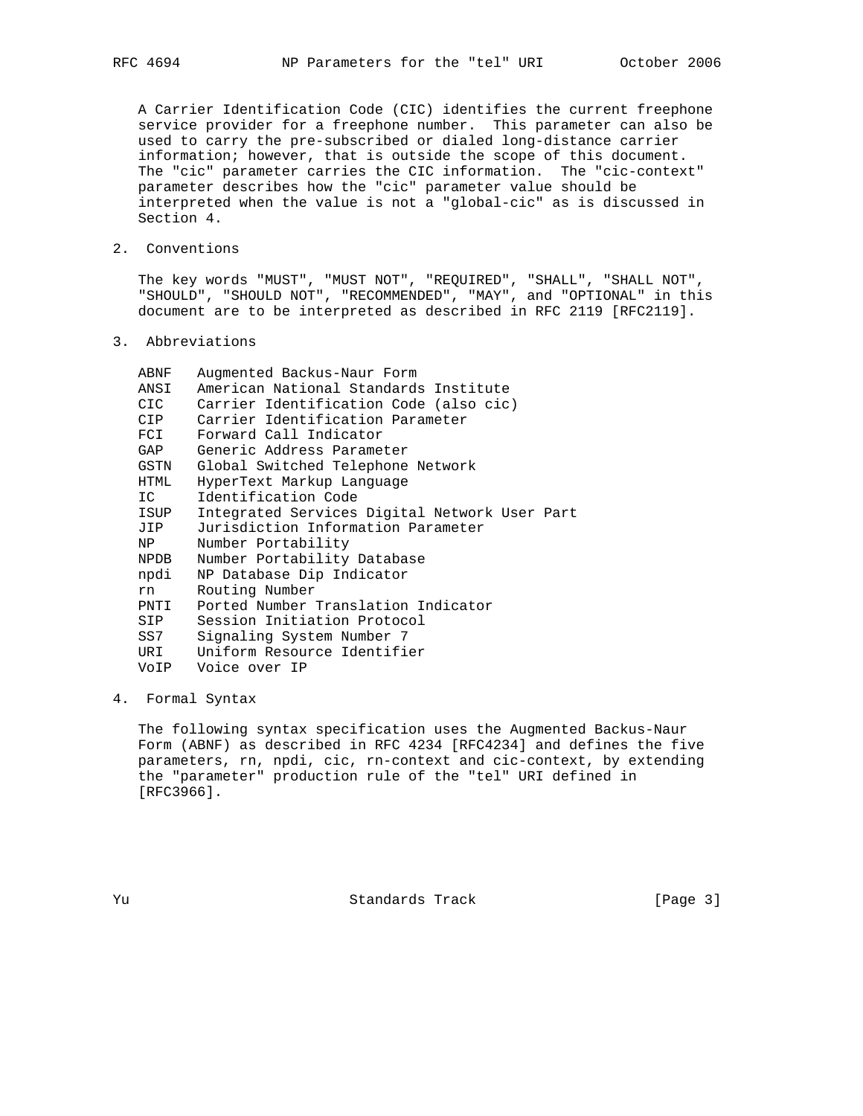A Carrier Identification Code (CIC) identifies the current freephone service provider for a freephone number. This parameter can also be used to carry the pre-subscribed or dialed long-distance carrier information; however, that is outside the scope of this document. The "cic" parameter carries the CIC information. The "cic-context" parameter describes how the "cic" parameter value should be interpreted when the value is not a "global-cic" as is discussed in Section 4.

2. Conventions

 The key words "MUST", "MUST NOT", "REQUIRED", "SHALL", "SHALL NOT", "SHOULD", "SHOULD NOT", "RECOMMENDED", "MAY", and "OPTIONAL" in this document are to be interpreted as described in RFC 2119 [RFC2119].

3. Abbreviations

| ABNF  | Augmented Backus-Naur Form                    |
|-------|-----------------------------------------------|
| ANSI  | American National Standards Institute         |
| CIC   | Carrier Identification Code (also cic)        |
| CIP   | Carrier Identification Parameter              |
| FCI   | Forward Call Indicator                        |
| GAP   | Generic Address Parameter                     |
| GSTN  | Global Switched Telephone Network             |
| HTML  | HyperText Markup Language                     |
| IC    | Identification Code                           |
| ISUP  | Integrated Services Digital Network User Part |
| JIP   | Jurisdiction Information Parameter            |
| NP    | Number Portability                            |
| NPDB  | Number Portability Database                   |
| npdi  | NP Database Dip Indicator                     |
| rn.   | Routing Number                                |
| PNTI  | Ported Number Translation Indicator           |
| SIP   | Session Initiation Protocol                   |
| SS7 - | Signaling System Number 7                     |
| URI   | Uniform Resource Identifier                   |
|       | VoIP Voice over IP                            |
|       |                                               |

# 4. Formal Syntax

 The following syntax specification uses the Augmented Backus-Naur Form (ABNF) as described in RFC 4234 [RFC4234] and defines the five parameters, rn, npdi, cic, rn-context and cic-context, by extending the "parameter" production rule of the "tel" URI defined in [RFC3966].

Yu Standards Track [Page 3]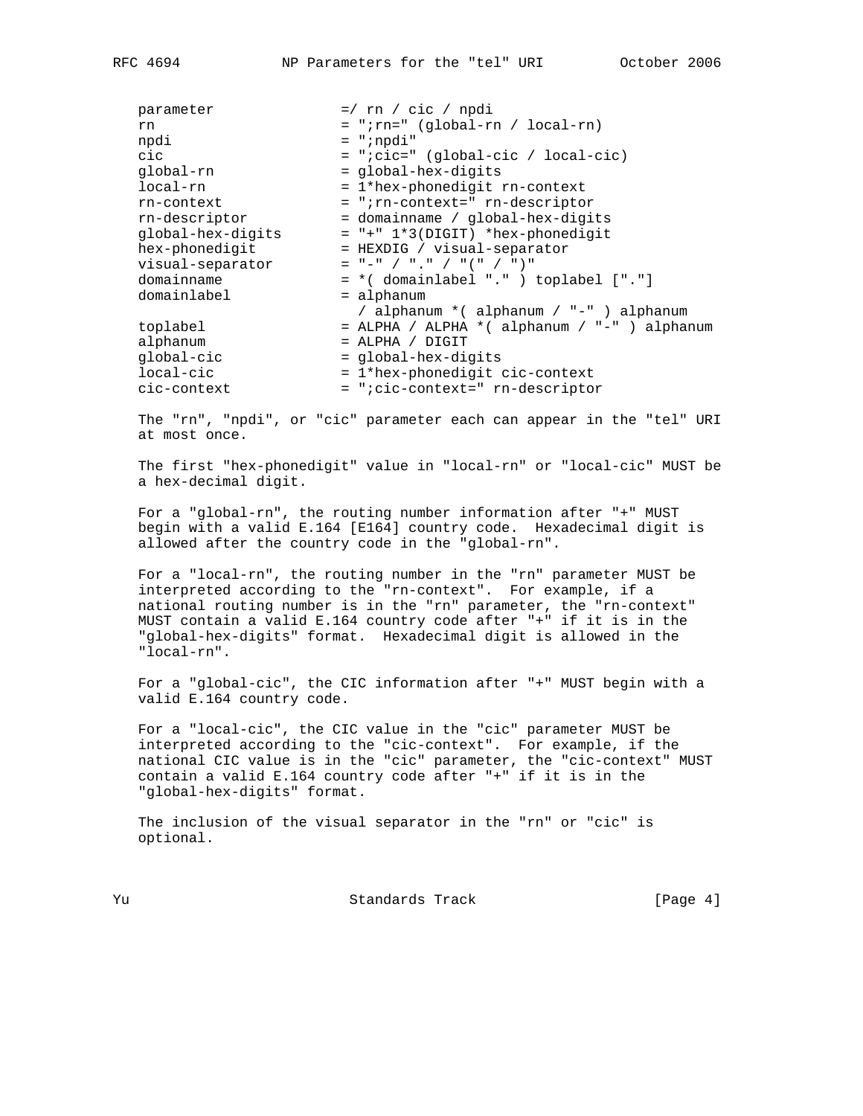| parameter         | $=$ / rn / cic / npdi                         |
|-------------------|-----------------------------------------------|
| rn                | $= "irn=" (global-rn / local-rn)$             |
| npdi              | $= "inpdi"$                                   |
| cic               | $= "icic=" (global-cic / local-cic)$          |
| qlobal-rn         | $=$ qlobal-hex-diqits                         |
| local-rn          | = 1*hex-phonedigit rn-context                 |
| rn-context        | = "; rn-context=" rn-descriptor               |
| rn-descriptor     | = domainname / global-hex-digits              |
| qlobal-hex-diqits | $= " + " 1*3(DIGIT) * hex-phonedigit$         |
| hex-phonedigit    | = HEXDIG / visual-separator                   |
| visual-separator  | $=$ " $-$ " / ", " / "(" / ")"                |
| domainname        | $= *$ (domainlabel ".") toplabel ["."]        |
| domainlabel       | = alphanum                                    |
|                   | / alphanum * ( alphanum / "-" ) alphanum      |
| toplabel          | = ALPHA / ALPHA * ( alphanum / "-" ) alphanum |
| alphanum          | $=$ ALPHA / DIGIT                             |
| global-cic        | = global-hex-digits                           |
| local-cic         | = 1*hex-phonedigit cic-context                |
| cic-context       | = ";cic-context=" rn-descriptor               |

 The "rn", "npdi", or "cic" parameter each can appear in the "tel" URI at most once.

 The first "hex-phonedigit" value in "local-rn" or "local-cic" MUST be a hex-decimal digit.

 For a "global-rn", the routing number information after "+" MUST begin with a valid E.164 [E164] country code. Hexadecimal digit is allowed after the country code in the "global-rn".

 For a "local-rn", the routing number in the "rn" parameter MUST be interpreted according to the "rn-context". For example, if a national routing number is in the "rn" parameter, the "rn-context" MUST contain a valid E.164 country code after "+" if it is in the "global-hex-digits" format. Hexadecimal digit is allowed in the "local-rn".

 For a "global-cic", the CIC information after "+" MUST begin with a valid E.164 country code.

 For a "local-cic", the CIC value in the "cic" parameter MUST be interpreted according to the "cic-context". For example, if the national CIC value is in the "cic" parameter, the "cic-context" MUST contain a valid E.164 country code after "+" if it is in the "global-hex-digits" format.

 The inclusion of the visual separator in the "rn" or "cic" is optional.

Yu Standards Track [Page 4]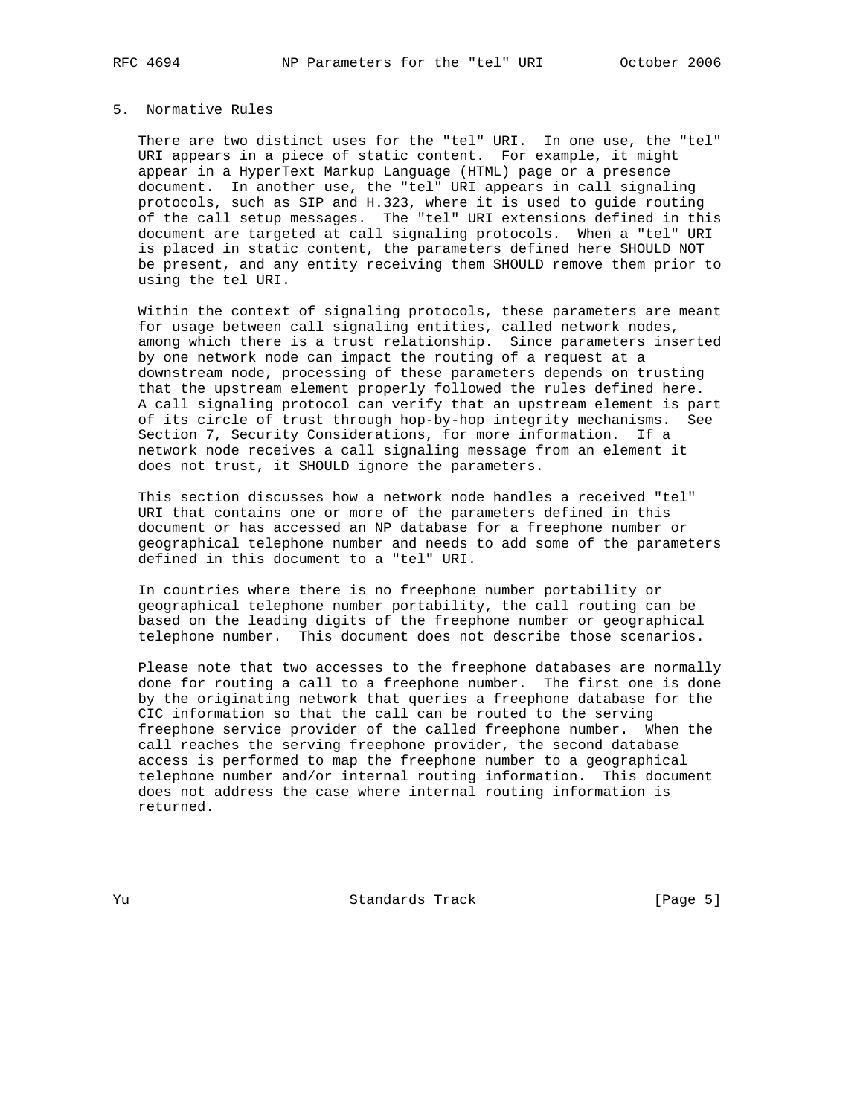# 5. Normative Rules

 There are two distinct uses for the "tel" URI. In one use, the "tel" URI appears in a piece of static content. For example, it might appear in a HyperText Markup Language (HTML) page or a presence document. In another use, the "tel" URI appears in call signaling protocols, such as SIP and H.323, where it is used to guide routing of the call setup messages. The "tel" URI extensions defined in this document are targeted at call signaling protocols. When a "tel" URI is placed in static content, the parameters defined here SHOULD NOT be present, and any entity receiving them SHOULD remove them prior to using the tel URI.

 Within the context of signaling protocols, these parameters are meant for usage between call signaling entities, called network nodes, among which there is a trust relationship. Since parameters inserted by one network node can impact the routing of a request at a downstream node, processing of these parameters depends on trusting that the upstream element properly followed the rules defined here. A call signaling protocol can verify that an upstream element is part of its circle of trust through hop-by-hop integrity mechanisms. See Section 7, Security Considerations, for more information. If a network node receives a call signaling message from an element it does not trust, it SHOULD ignore the parameters.

 This section discusses how a network node handles a received "tel" URI that contains one or more of the parameters defined in this document or has accessed an NP database for a freephone number or geographical telephone number and needs to add some of the parameters defined in this document to a "tel" URI.

 In countries where there is no freephone number portability or geographical telephone number portability, the call routing can be based on the leading digits of the freephone number or geographical telephone number. This document does not describe those scenarios.

 Please note that two accesses to the freephone databases are normally done for routing a call to a freephone number. The first one is done by the originating network that queries a freephone database for the CIC information so that the call can be routed to the serving freephone service provider of the called freephone number. When the call reaches the serving freephone provider, the second database access is performed to map the freephone number to a geographical telephone number and/or internal routing information. This document does not address the case where internal routing information is returned.

Yu Standards Track [Page 5]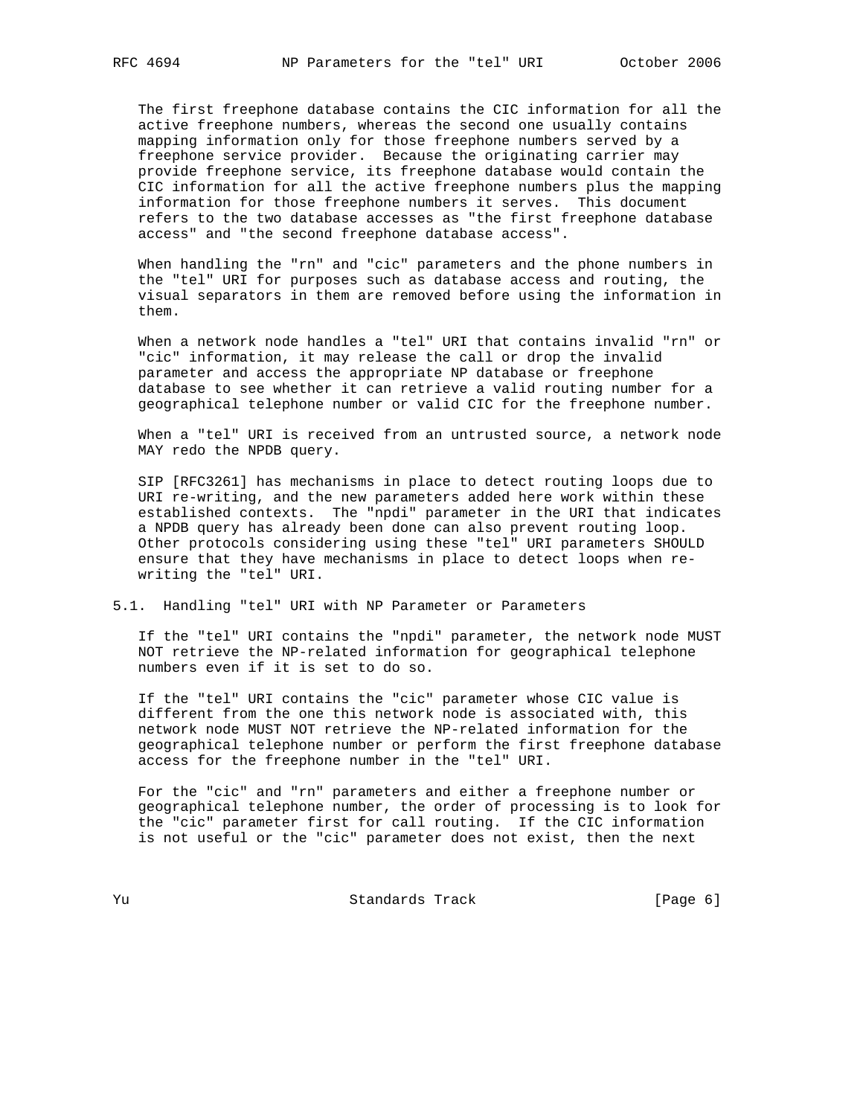The first freephone database contains the CIC information for all the active freephone numbers, whereas the second one usually contains mapping information only for those freephone numbers served by a freephone service provider. Because the originating carrier may provide freephone service, its freephone database would contain the CIC information for all the active freephone numbers plus the mapping information for those freephone numbers it serves. This document refers to the two database accesses as "the first freephone database access" and "the second freephone database access".

 When handling the "rn" and "cic" parameters and the phone numbers in the "tel" URI for purposes such as database access and routing, the visual separators in them are removed before using the information in them.

 When a network node handles a "tel" URI that contains invalid "rn" or "cic" information, it may release the call or drop the invalid parameter and access the appropriate NP database or freephone database to see whether it can retrieve a valid routing number for a geographical telephone number or valid CIC for the freephone number.

 When a "tel" URI is received from an untrusted source, a network node MAY redo the NPDB query.

 SIP [RFC3261] has mechanisms in place to detect routing loops due to URI re-writing, and the new parameters added here work within these established contexts. The "npdi" parameter in the URI that indicates a NPDB query has already been done can also prevent routing loop. Other protocols considering using these "tel" URI parameters SHOULD ensure that they have mechanisms in place to detect loops when re writing the "tel" URI.

### 5.1. Handling "tel" URI with NP Parameter or Parameters

 If the "tel" URI contains the "npdi" parameter, the network node MUST NOT retrieve the NP-related information for geographical telephone numbers even if it is set to do so.

 If the "tel" URI contains the "cic" parameter whose CIC value is different from the one this network node is associated with, this network node MUST NOT retrieve the NP-related information for the geographical telephone number or perform the first freephone database access for the freephone number in the "tel" URI.

 For the "cic" and "rn" parameters and either a freephone number or geographical telephone number, the order of processing is to look for the "cic" parameter first for call routing. If the CIC information is not useful or the "cic" parameter does not exist, then the next

Yu Standards Track [Page 6]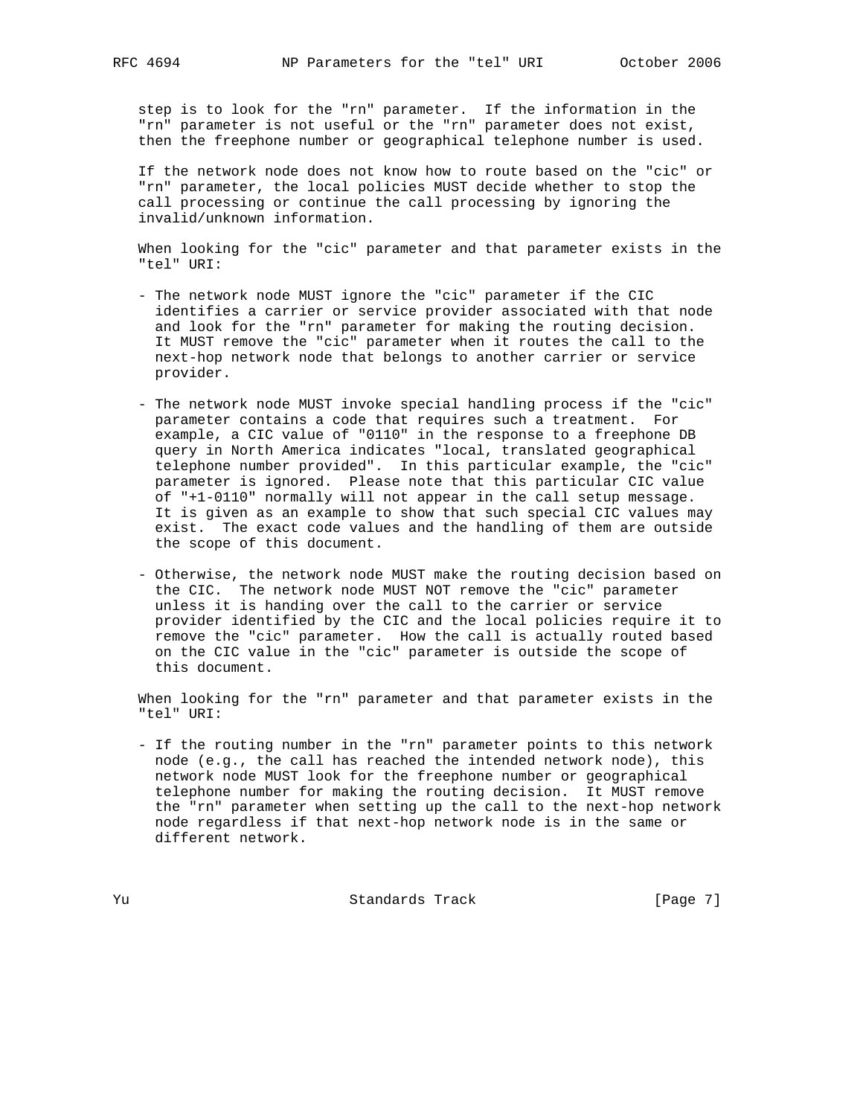step is to look for the "rn" parameter. If the information in the "rn" parameter is not useful or the "rn" parameter does not exist, then the freephone number or geographical telephone number is used.

 If the network node does not know how to route based on the "cic" or "rn" parameter, the local policies MUST decide whether to stop the call processing or continue the call processing by ignoring the invalid/unknown information.

 When looking for the "cic" parameter and that parameter exists in the "tel" URI:

- The network node MUST ignore the "cic" parameter if the CIC identifies a carrier or service provider associated with that node and look for the "rn" parameter for making the routing decision. It MUST remove the "cic" parameter when it routes the call to the next-hop network node that belongs to another carrier or service provider.
- The network node MUST invoke special handling process if the "cic" parameter contains a code that requires such a treatment. For example, a CIC value of "0110" in the response to a freephone DB query in North America indicates "local, translated geographical telephone number provided". In this particular example, the "cic" parameter is ignored. Please note that this particular CIC value of "+1-0110" normally will not appear in the call setup message. It is given as an example to show that such special CIC values may exist. The exact code values and the handling of them are outside the scope of this document.
- Otherwise, the network node MUST make the routing decision based on the CIC. The network node MUST NOT remove the "cic" parameter unless it is handing over the call to the carrier or service provider identified by the CIC and the local policies require it to remove the "cic" parameter. How the call is actually routed based on the CIC value in the "cic" parameter is outside the scope of this document.

 When looking for the "rn" parameter and that parameter exists in the "tel" URI:

 - If the routing number in the "rn" parameter points to this network node (e.g., the call has reached the intended network node), this network node MUST look for the freephone number or geographical telephone number for making the routing decision. It MUST remove the "rn" parameter when setting up the call to the next-hop network node regardless if that next-hop network node is in the same or different network.

Yu Standards Track [Page 7]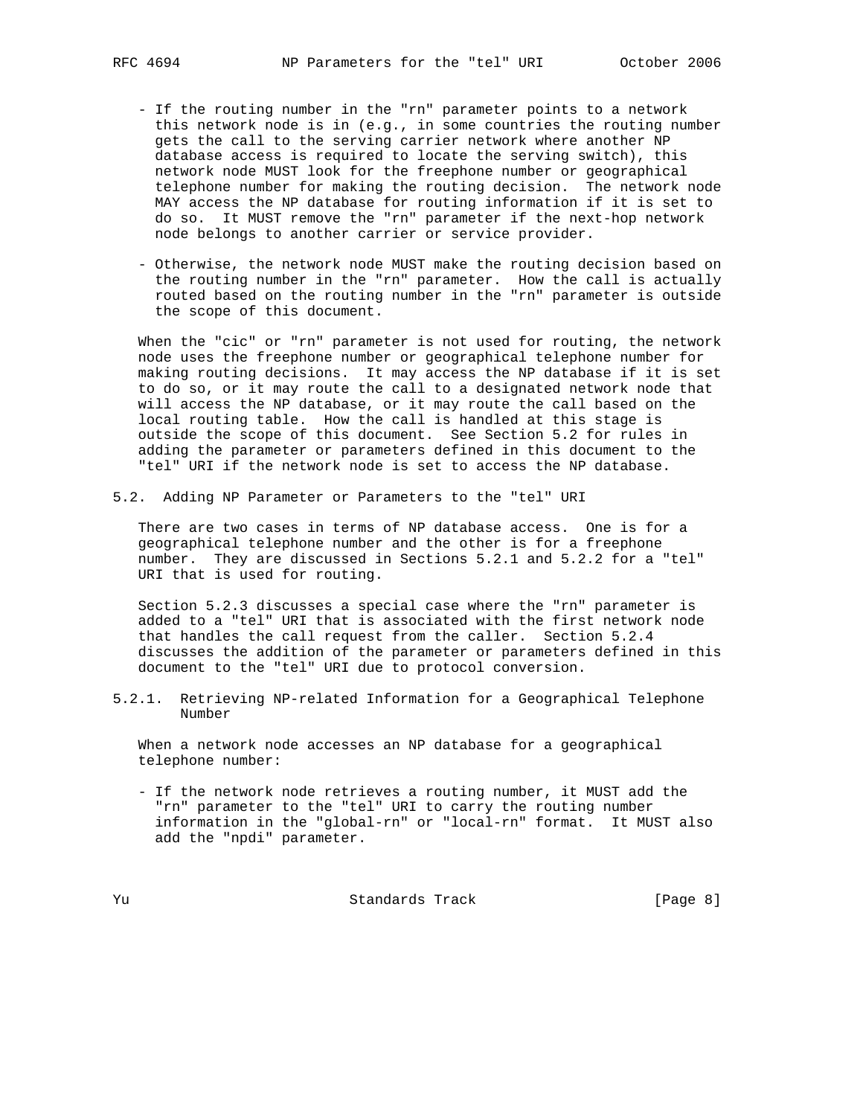- If the routing number in the "rn" parameter points to a network this network node is in (e.g., in some countries the routing number gets the call to the serving carrier network where another NP database access is required to locate the serving switch), this network node MUST look for the freephone number or geographical telephone number for making the routing decision. The network node MAY access the NP database for routing information if it is set to do so. It MUST remove the "rn" parameter if the next-hop network node belongs to another carrier or service provider.
- Otherwise, the network node MUST make the routing decision based on the routing number in the "rn" parameter. How the call is actually routed based on the routing number in the "rn" parameter is outside the scope of this document.

 When the "cic" or "rn" parameter is not used for routing, the network node uses the freephone number or geographical telephone number for making routing decisions. It may access the NP database if it is set to do so, or it may route the call to a designated network node that will access the NP database, or it may route the call based on the local routing table. How the call is handled at this stage is outside the scope of this document. See Section 5.2 for rules in adding the parameter or parameters defined in this document to the "tel" URI if the network node is set to access the NP database.

5.2. Adding NP Parameter or Parameters to the "tel" URI

 There are two cases in terms of NP database access. One is for a geographical telephone number and the other is for a freephone number. They are discussed in Sections 5.2.1 and 5.2.2 for a "tel" URI that is used for routing.

 Section 5.2.3 discusses a special case where the "rn" parameter is added to a "tel" URI that is associated with the first network node that handles the call request from the caller. Section 5.2.4 discusses the addition of the parameter or parameters defined in this document to the "tel" URI due to protocol conversion.

5.2.1. Retrieving NP-related Information for a Geographical Telephone Number

 When a network node accesses an NP database for a geographical telephone number:

 - If the network node retrieves a routing number, it MUST add the "rn" parameter to the "tel" URI to carry the routing number information in the "global-rn" or "local-rn" format. It MUST also add the "npdi" parameter.

Yu Standards Track [Page 8]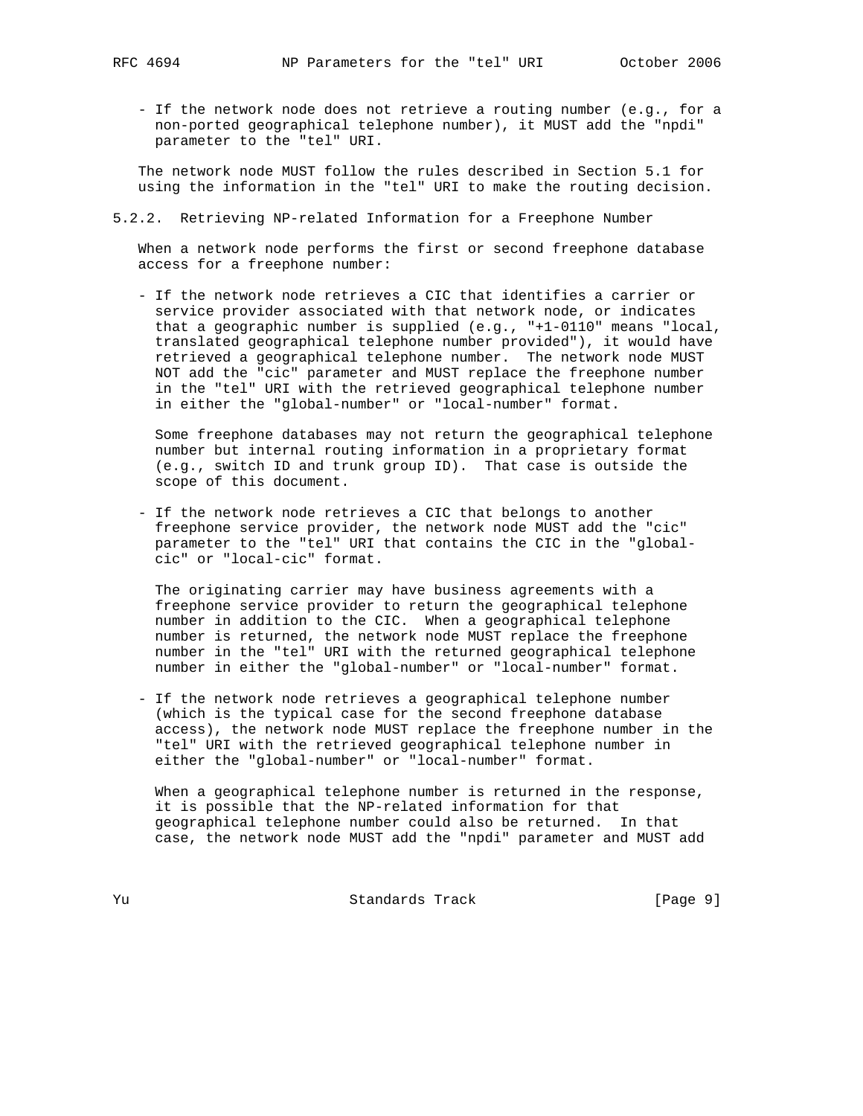- If the network node does not retrieve a routing number (e.g., for a non-ported geographical telephone number), it MUST add the "npdi" parameter to the "tel" URI.

 The network node MUST follow the rules described in Section 5.1 for using the information in the "tel" URI to make the routing decision.

5.2.2. Retrieving NP-related Information for a Freephone Number

 When a network node performs the first or second freephone database access for a freephone number:

 - If the network node retrieves a CIC that identifies a carrier or service provider associated with that network node, or indicates that a geographic number is supplied (e.g., "+1-0110" means "local, translated geographical telephone number provided"), it would have retrieved a geographical telephone number. The network node MUST NOT add the "cic" parameter and MUST replace the freephone number in the "tel" URI with the retrieved geographical telephone number in either the "global-number" or "local-number" format.

 Some freephone databases may not return the geographical telephone number but internal routing information in a proprietary format (e.g., switch ID and trunk group ID). That case is outside the scope of this document.

 - If the network node retrieves a CIC that belongs to another freephone service provider, the network node MUST add the "cic" parameter to the "tel" URI that contains the CIC in the "global cic" or "local-cic" format.

 The originating carrier may have business agreements with a freephone service provider to return the geographical telephone number in addition to the CIC. When a geographical telephone number is returned, the network node MUST replace the freephone number in the "tel" URI with the returned geographical telephone number in either the "global-number" or "local-number" format.

 - If the network node retrieves a geographical telephone number (which is the typical case for the second freephone database access), the network node MUST replace the freephone number in the "tel" URI with the retrieved geographical telephone number in either the "global-number" or "local-number" format.

 When a geographical telephone number is returned in the response, it is possible that the NP-related information for that geographical telephone number could also be returned. In that case, the network node MUST add the "npdi" parameter and MUST add

Yu Standards Track [Page 9]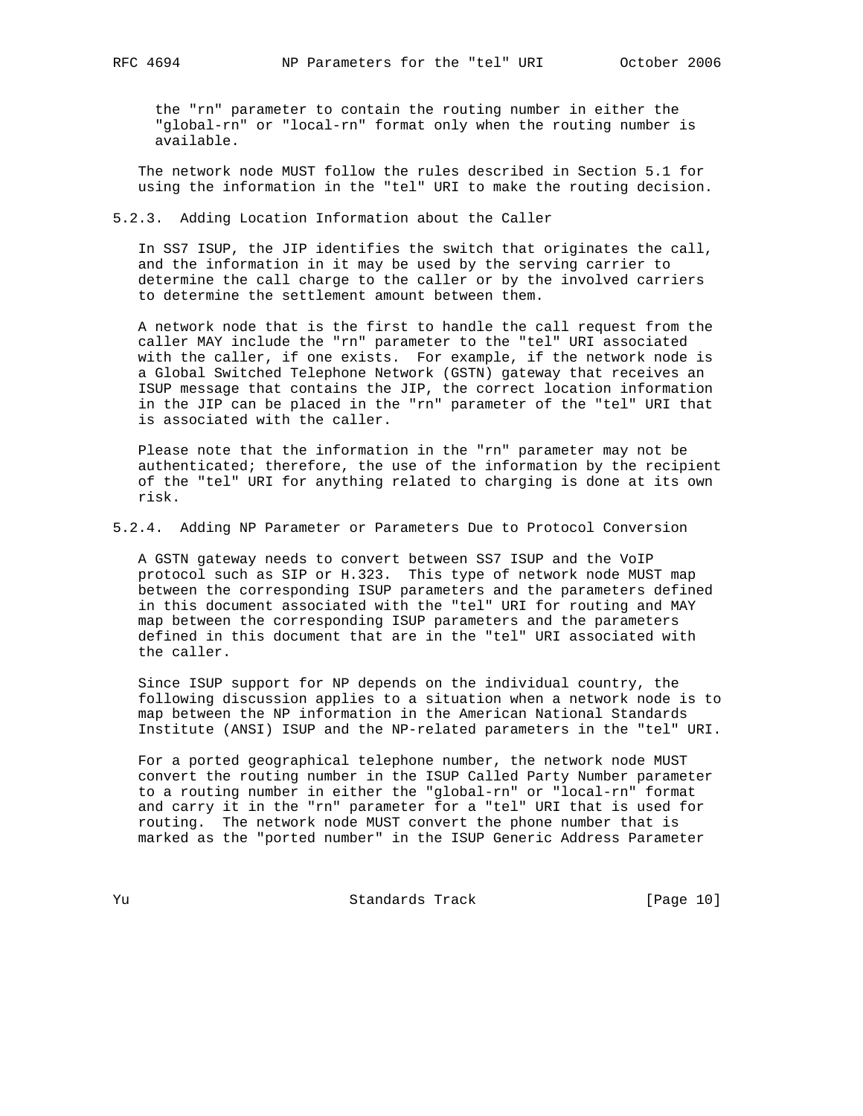the "rn" parameter to contain the routing number in either the "global-rn" or "local-rn" format only when the routing number is available.

 The network node MUST follow the rules described in Section 5.1 for using the information in the "tel" URI to make the routing decision.

5.2.3. Adding Location Information about the Caller

 In SS7 ISUP, the JIP identifies the switch that originates the call, and the information in it may be used by the serving carrier to determine the call charge to the caller or by the involved carriers to determine the settlement amount between them.

 A network node that is the first to handle the call request from the caller MAY include the "rn" parameter to the "tel" URI associated with the caller, if one exists. For example, if the network node is a Global Switched Telephone Network (GSTN) gateway that receives an ISUP message that contains the JIP, the correct location information in the JIP can be placed in the "rn" parameter of the "tel" URI that is associated with the caller.

 Please note that the information in the "rn" parameter may not be authenticated; therefore, the use of the information by the recipient of the "tel" URI for anything related to charging is done at its own risk.

5.2.4. Adding NP Parameter or Parameters Due to Protocol Conversion

 A GSTN gateway needs to convert between SS7 ISUP and the VoIP protocol such as SIP or H.323. This type of network node MUST map between the corresponding ISUP parameters and the parameters defined in this document associated with the "tel" URI for routing and MAY map between the corresponding ISUP parameters and the parameters defined in this document that are in the "tel" URI associated with the caller.

 Since ISUP support for NP depends on the individual country, the following discussion applies to a situation when a network node is to map between the NP information in the American National Standards Institute (ANSI) ISUP and the NP-related parameters in the "tel" URI.

 For a ported geographical telephone number, the network node MUST convert the routing number in the ISUP Called Party Number parameter to a routing number in either the "global-rn" or "local-rn" format and carry it in the "rn" parameter for a "tel" URI that is used for routing. The network node MUST convert the phone number that is marked as the "ported number" in the ISUP Generic Address Parameter

Yu Standards Track [Page 10]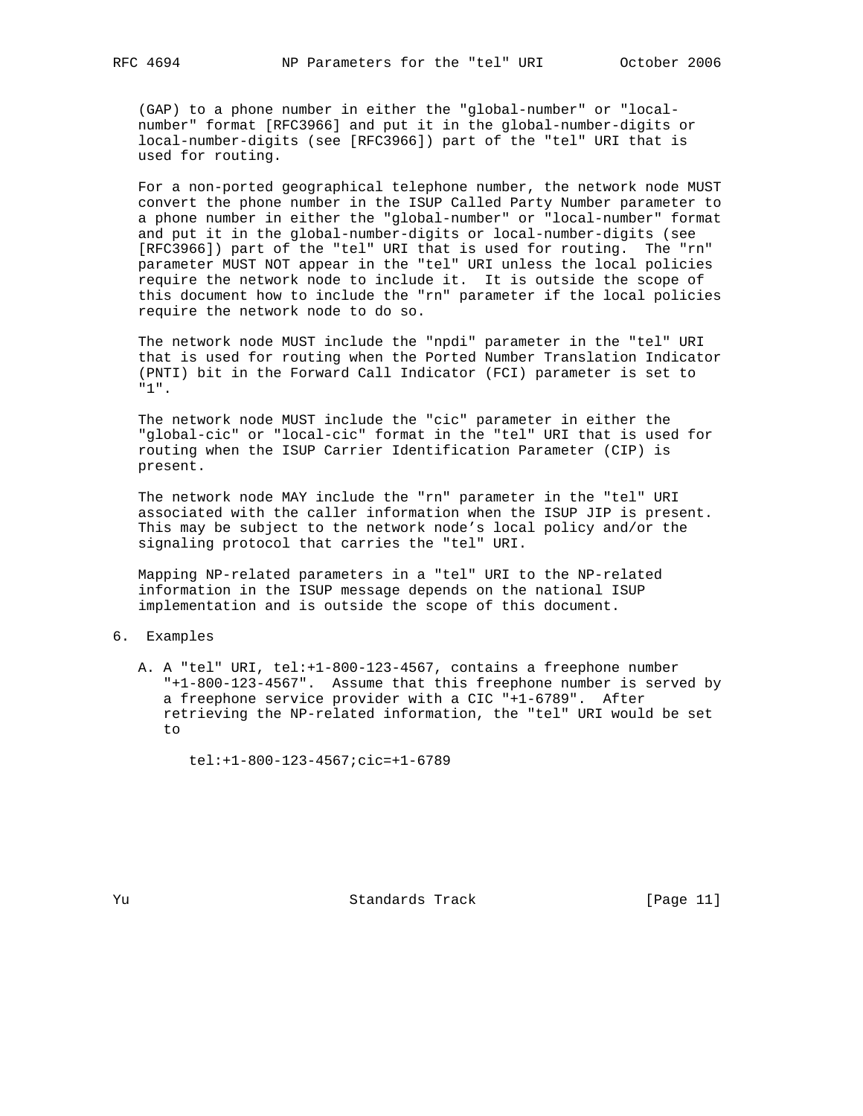(GAP) to a phone number in either the "global-number" or "local number" format [RFC3966] and put it in the global-number-digits or local-number-digits (see [RFC3966]) part of the "tel" URI that is used for routing.

 For a non-ported geographical telephone number, the network node MUST convert the phone number in the ISUP Called Party Number parameter to a phone number in either the "global-number" or "local-number" format and put it in the global-number-digits or local-number-digits (see [RFC3966]) part of the "tel" URI that is used for routing. The "rn" parameter MUST NOT appear in the "tel" URI unless the local policies require the network node to include it. It is outside the scope of this document how to include the "rn" parameter if the local policies require the network node to do so.

 The network node MUST include the "npdi" parameter in the "tel" URI that is used for routing when the Ported Number Translation Indicator (PNTI) bit in the Forward Call Indicator (FCI) parameter is set to "1".

 The network node MUST include the "cic" parameter in either the "global-cic" or "local-cic" format in the "tel" URI that is used for routing when the ISUP Carrier Identification Parameter (CIP) is present.

 The network node MAY include the "rn" parameter in the "tel" URI associated with the caller information when the ISUP JIP is present. This may be subject to the network node's local policy and/or the signaling protocol that carries the "tel" URI.

 Mapping NP-related parameters in a "tel" URI to the NP-related information in the ISUP message depends on the national ISUP implementation and is outside the scope of this document.

## 6. Examples

 A. A "tel" URI, tel:+1-800-123-4567, contains a freephone number "+1-800-123-4567". Assume that this freephone number is served by a freephone service provider with a CIC "+1-6789". After retrieving the NP-related information, the "tel" URI would be set to

tel:+1-800-123-4567;cic=+1-6789

Yu Standards Track [Page 11]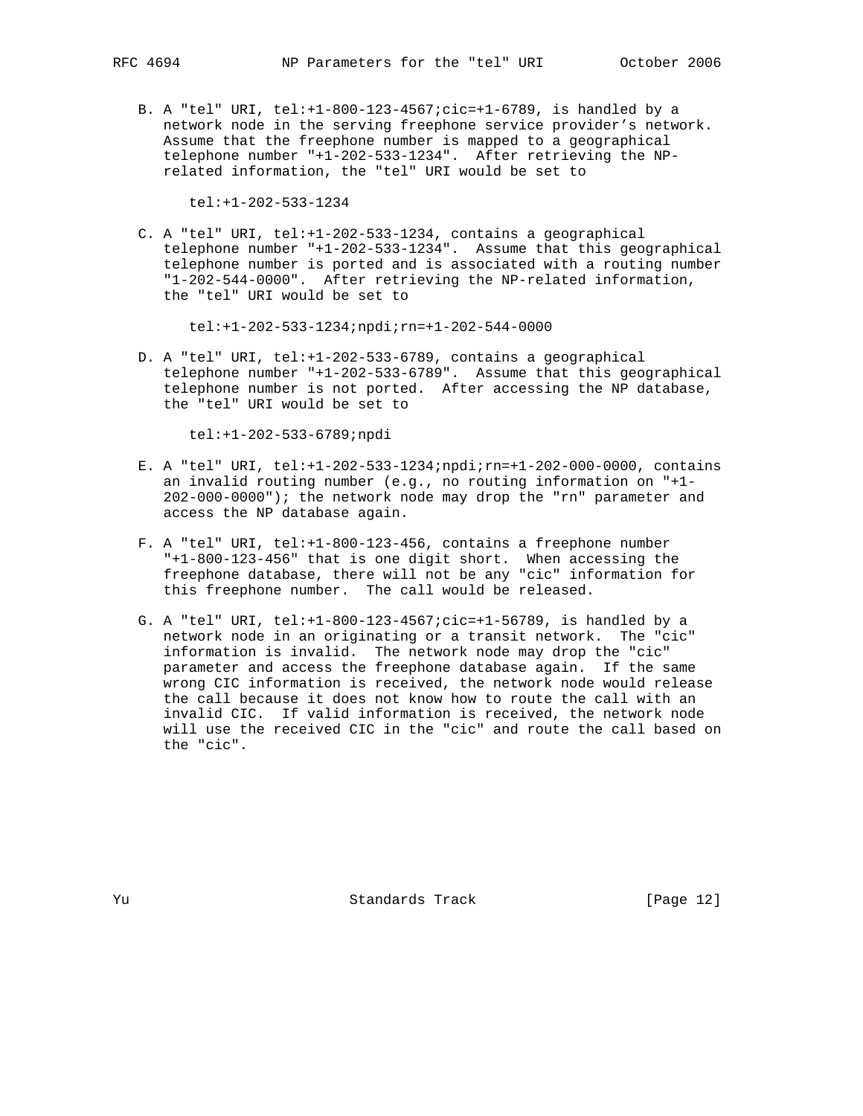B. A "tel" URI, tel:+1-800-123-4567;cic=+1-6789, is handled by a network node in the serving freephone service provider's network. Assume that the freephone number is mapped to a geographical telephone number "+1-202-533-1234". After retrieving the NP related information, the "tel" URI would be set to

tel:+1-202-533-1234

 C. A "tel" URI, tel:+1-202-533-1234, contains a geographical telephone number "+1-202-533-1234". Assume that this geographical telephone number is ported and is associated with a routing number "1-202-544-0000". After retrieving the NP-related information, the "tel" URI would be set to

tel:+1-202-533-1234;npdi;rn=+1-202-544-0000

 D. A "tel" URI, tel:+1-202-533-6789, contains a geographical telephone number "+1-202-533-6789". Assume that this geographical telephone number is not ported. After accessing the NP database, the "tel" URI would be set to

tel:+1-202-533-6789;npdi

- E. A "tel" URI, tel:+1-202-533-1234;npdi;rn=+1-202-000-0000, contains an invalid routing number (e.g., no routing information on "+1- 202-000-0000"); the network node may drop the "rn" parameter and access the NP database again.
- F. A "tel" URI, tel:+1-800-123-456, contains a freephone number "+1-800-123-456" that is one digit short. When accessing the freephone database, there will not be any "cic" information for this freephone number. The call would be released.
- G. A "tel" URI, tel:+1-800-123-4567;cic=+1-56789, is handled by a network node in an originating or a transit network. The "cic" information is invalid. The network node may drop the "cic" parameter and access the freephone database again. If the same wrong CIC information is received, the network node would release the call because it does not know how to route the call with an invalid CIC. If valid information is received, the network node will use the received CIC in the "cic" and route the call based on the "cic".

Yu Standards Track [Page 12]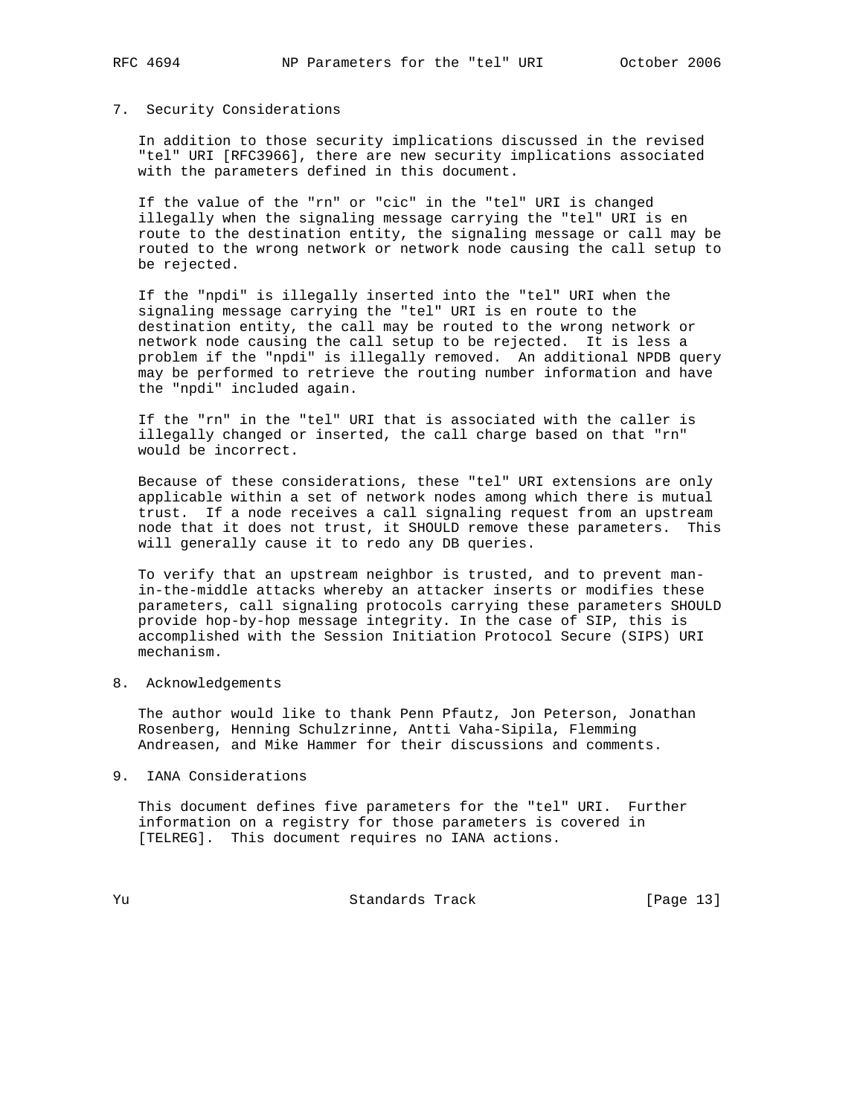### 7. Security Considerations

 In addition to those security implications discussed in the revised "tel" URI [RFC3966], there are new security implications associated with the parameters defined in this document.

 If the value of the "rn" or "cic" in the "tel" URI is changed illegally when the signaling message carrying the "tel" URI is en route to the destination entity, the signaling message or call may be routed to the wrong network or network node causing the call setup to be rejected.

 If the "npdi" is illegally inserted into the "tel" URI when the signaling message carrying the "tel" URI is en route to the destination entity, the call may be routed to the wrong network or network node causing the call setup to be rejected. It is less a problem if the "npdi" is illegally removed. An additional NPDB query may be performed to retrieve the routing number information and have the "npdi" included again.

 If the "rn" in the "tel" URI that is associated with the caller is illegally changed or inserted, the call charge based on that "rn" would be incorrect.

 Because of these considerations, these "tel" URI extensions are only applicable within a set of network nodes among which there is mutual trust. If a node receives a call signaling request from an upstream node that it does not trust, it SHOULD remove these parameters. This will generally cause it to redo any DB queries.

 To verify that an upstream neighbor is trusted, and to prevent man in-the-middle attacks whereby an attacker inserts or modifies these parameters, call signaling protocols carrying these parameters SHOULD provide hop-by-hop message integrity. In the case of SIP, this is accomplished with the Session Initiation Protocol Secure (SIPS) URI mechanism.

8. Acknowledgements

 The author would like to thank Penn Pfautz, Jon Peterson, Jonathan Rosenberg, Henning Schulzrinne, Antti Vaha-Sipila, Flemming Andreasen, and Mike Hammer for their discussions and comments.

9. IANA Considerations

 This document defines five parameters for the "tel" URI. Further information on a registry for those parameters is covered in [TELREG]. This document requires no IANA actions.

Yu Standards Track [Page 13]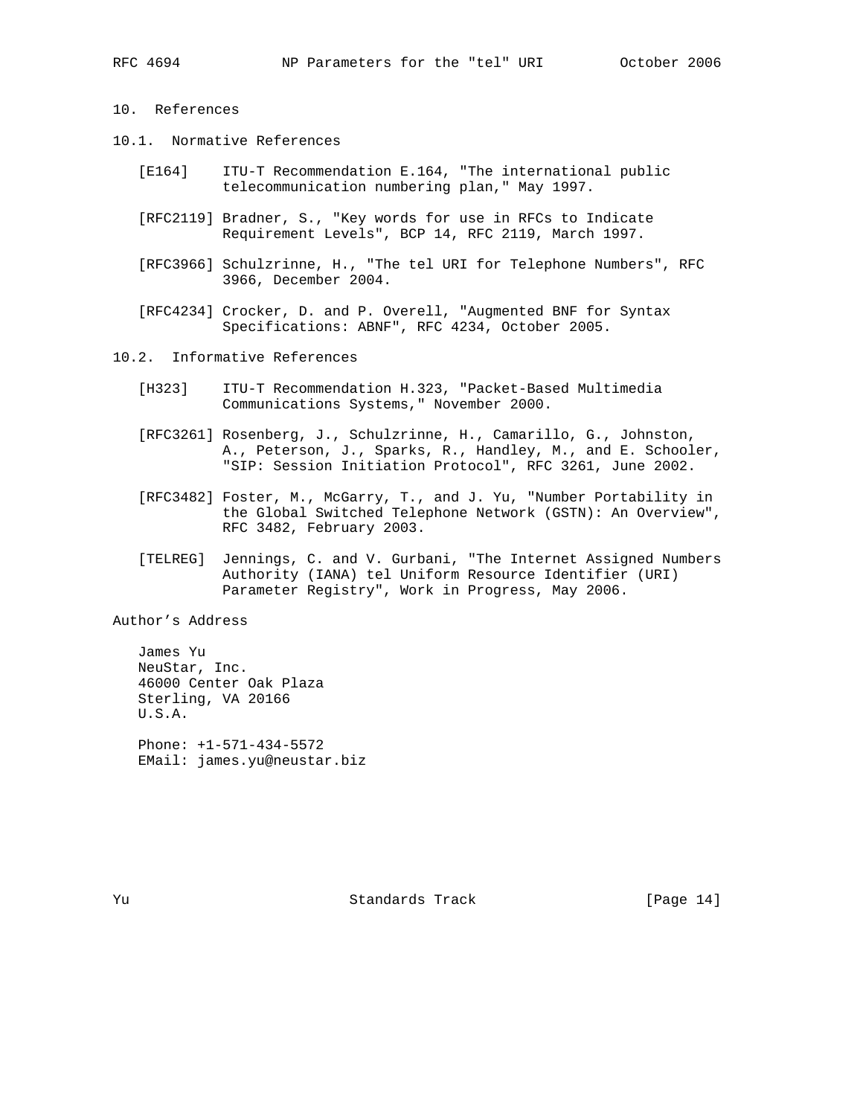# 10. References

- 10.1. Normative References
	- [E164] ITU-T Recommendation E.164, "The international public telecommunication numbering plan," May 1997.
	- [RFC2119] Bradner, S., "Key words for use in RFCs to Indicate Requirement Levels", BCP 14, RFC 2119, March 1997.
	- [RFC3966] Schulzrinne, H., "The tel URI for Telephone Numbers", RFC 3966, December 2004.
	- [RFC4234] Crocker, D. and P. Overell, "Augmented BNF for Syntax Specifications: ABNF", RFC 4234, October 2005.

10.2. Informative References

- [H323] ITU-T Recommendation H.323, "Packet-Based Multimedia Communications Systems," November 2000.
- [RFC3261] Rosenberg, J., Schulzrinne, H., Camarillo, G., Johnston, A., Peterson, J., Sparks, R., Handley, M., and E. Schooler, "SIP: Session Initiation Protocol", RFC 3261, June 2002.
- [RFC3482] Foster, M., McGarry, T., and J. Yu, "Number Portability in the Global Switched Telephone Network (GSTN): An Overview", RFC 3482, February 2003.
- [TELREG] Jennings, C. and V. Gurbani, "The Internet Assigned Numbers Authority (IANA) tel Uniform Resource Identifier (URI) Parameter Registry", Work in Progress, May 2006.

Author's Address

 James Yu NeuStar, Inc. 46000 Center Oak Plaza Sterling, VA 20166 U.S.A. Phone: +1-571-434-5572

EMail: james.yu@neustar.biz

Yu Standards Track [Page 14]